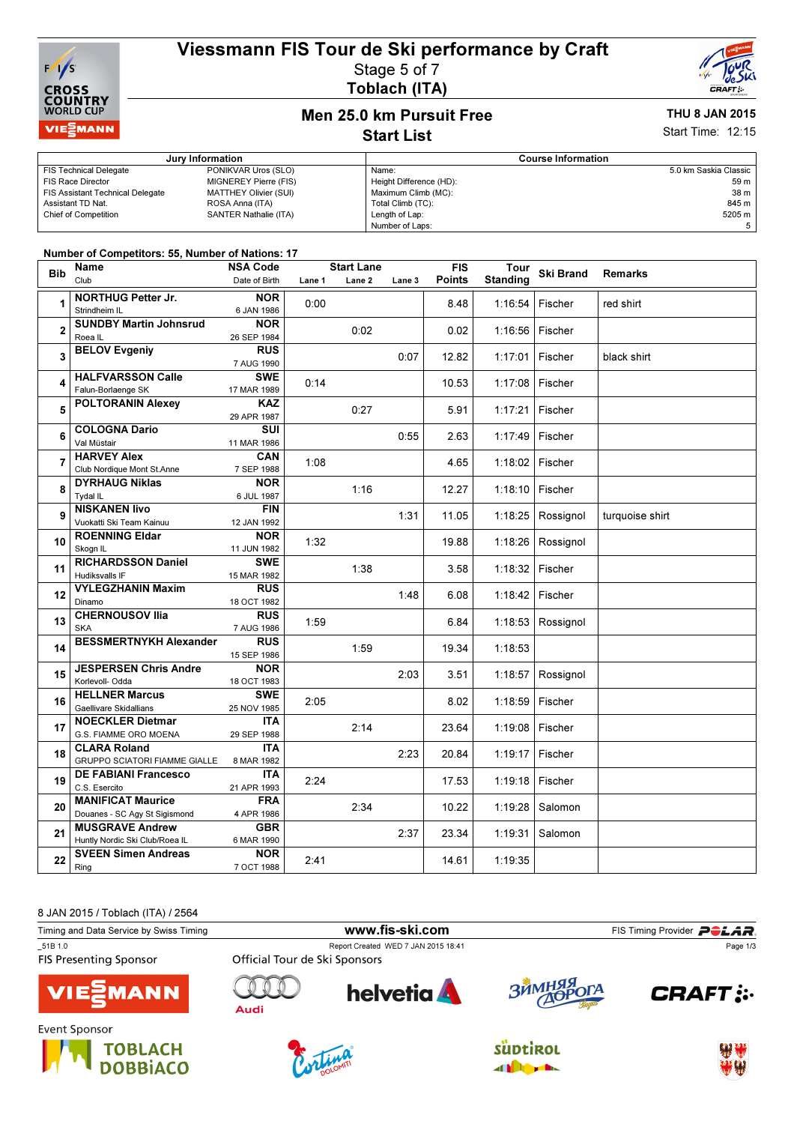# Viessmann FIS Tour de Ski performance by Craft



### Stage 5 of 7 Toblach (ITA)



# Men 25.0 km Pursuit Free

### THU 8 JAN 2015 Start Time: 12:15

## Start List

#### Jury Information Course Information FIS Technical Delegate PONIKVAR Uros (SLO) FIS Race Director MIGNEREY Pierre (FIS) FIS Assistant Technical Delegate MATTHEY Olivier (SUI) Assistant TD Nat. ROSA Anna (ITA) Chief of Competition SANTER Nathalie (ITA) Name: 5.0 km Saskia Classic Height Difference (HD): 59 m Maximum Climb (MC): 38 m<br>Total Climb (TC): 39 m Total Climb (TC): 845 m<br>
Length of Lap: 8205 m<br>
5205 m Length of Lap: Number of Laps: 5

#### Number of Competitors: 55, Number of Nations: 17

| <b>Bib</b>     | Name                                                     | <b>NSA Code</b>           | <b>Start Lane</b> |                   |        | <b>FIS</b>    | Tour            | <b>Ski Brand</b> | <b>Remarks</b>  |
|----------------|----------------------------------------------------------|---------------------------|-------------------|-------------------|--------|---------------|-----------------|------------------|-----------------|
|                | Club                                                     | Date of Birth             | Lane 1            | Lane <sub>2</sub> | Lane 3 | <b>Points</b> | <b>Standing</b> |                  |                 |
|                | <b>NORTHUG Petter Jr.</b>                                | <b>NOR</b>                |                   |                   |        |               |                 |                  |                 |
| 1              | Strindheim IL                                            | 6 JAN 1986                | 0:00              |                   |        | 8.48          | 1:16:54         | Fischer          | red shirt       |
| $\overline{2}$ | <b>SUNDBY Martin Johnsrud</b>                            | <b>NOR</b>                |                   |                   |        |               |                 |                  |                 |
|                | Roea IL                                                  | 26 SEP 1984               |                   | 0:02              |        | 0.02          | 1:16:56         | Fischer          |                 |
| 3              | <b>BELOV Evgeniy</b>                                     | <b>RUS</b>                |                   |                   |        |               |                 |                  |                 |
|                |                                                          | 7 AUG 1990                |                   |                   | 0:07   | 12.82         | 1:17:01         | Fischer          | black shirt     |
| 4              | <b>HALFVARSSON Calle</b>                                 | <b>SWE</b>                | 0:14              |                   |        | 10.53         | 1:17:08         | Fischer          |                 |
|                | Falun-Borlaenge SK                                       | 17 MAR 1989               |                   |                   |        |               |                 |                  |                 |
| 5              | <b>POLTORANIN Alexey</b>                                 | <b>KAZ</b>                |                   | 0:27              |        | 5.91          | 1:17:21         | Fischer          |                 |
|                |                                                          | 29 APR 1987               |                   |                   |        |               |                 |                  |                 |
| 6              | <b>COLOGNA Dario</b>                                     | <b>SUI</b>                |                   |                   | 0:55   | 2.63          | 1:17:49         | Fischer          |                 |
|                | Val Müstair                                              | 11 MAR 1986               |                   |                   |        |               |                 |                  |                 |
| $\overline{7}$ | <b>HARVEY Alex</b>                                       | CAN                       | 1:08              |                   |        | 4.65          | 1:18:02         | Fischer          |                 |
|                | Club Nordique Mont St.Anne                               | 7 SEP 1988                |                   |                   |        |               |                 |                  |                 |
| 8              | <b>DYRHAUG Niklas</b>                                    | <b>NOR</b>                |                   | 1:16              |        | 12.27         | 1:18:10         | Fischer          |                 |
|                | <b>Tydal IL</b>                                          | 6 JUL 1987                |                   |                   |        |               |                 |                  |                 |
| 9              | <b>NISKANEN livo</b>                                     | <b>FIN</b>                |                   |                   | 1:31   | 11.05         | 1:18:25         | Rossignol        | turquoise shirt |
|                | Vuokatti Ski Team Kainuu<br><b>ROENNING Eldar</b>        | 12 JAN 1992<br><b>NOR</b> |                   |                   |        |               |                 |                  |                 |
| 10             | Skogn IL                                                 | 11 JUN 1982               | 1:32              |                   |        | 19.88         | 1:18:26         | Rossignol        |                 |
| 11             | <b>RICHARDSSON Daniel</b>                                | <b>SWE</b>                |                   |                   |        |               |                 |                  |                 |
|                | <b>Hudiksvalls IF</b>                                    | 15 MAR 1982               |                   | 1:38              |        | 3.58          | 1:18:32         | Fischer          |                 |
| 12             | <b>VYLEGZHANIN Maxim</b>                                 | <b>RUS</b>                |                   |                   |        |               |                 |                  |                 |
|                | Dinamo                                                   | 18 OCT 1982               |                   |                   | 1:48   | 6.08          | 1:18:42         | Fischer          |                 |
|                | <b>CHERNOUSOV Ilia</b>                                   | <b>RUS</b>                |                   |                   |        |               |                 |                  |                 |
| 13             | <b>SKA</b>                                               | 7 AUG 1986                | 1:59              |                   |        | 6.84          | 1:18:53         | Rossignol        |                 |
| 14             | <b>BESSMERTNYKH Alexander</b>                            | <b>RUS</b>                |                   |                   |        |               |                 |                  |                 |
|                |                                                          | 15 SEP 1986               |                   | 1:59              |        | 19.34         | 1:18:53         |                  |                 |
| 15             | <b>JESPERSEN Chris Andre</b>                             | <b>NOR</b>                |                   |                   | 2:03   | 3.51          | 1:18:57         | Rossignol        |                 |
|                | Korlevoll- Odda                                          | 18 OCT 1983               |                   |                   |        |               |                 |                  |                 |
| 16             | <b>HELLNER Marcus</b>                                    | <b>SWE</b>                | 2:05              |                   |        | 8.02          | 1:18:59         | Fischer          |                 |
|                | Gaellivare Skidallians                                   | 25 NOV 1985               |                   |                   |        |               |                 |                  |                 |
| 17             | <b>NOECKLER Dietmar</b>                                  | <b>ITA</b>                |                   | 2:14              |        | 23.64         | 1:19:08         | Fischer          |                 |
|                | G.S. FIAMME ORO MOENA                                    | 29 SEP 1988               |                   |                   |        |               |                 |                  |                 |
| 18             | <b>CLARA Roland</b>                                      | <b>ITA</b>                |                   |                   | 2:23   | 20.84         | 1:19:17         | Fischer          |                 |
|                | <b>GRUPPO SCIATORI FIAMME GIALLE</b>                     | 8 MAR 1982                |                   |                   |        |               |                 |                  |                 |
| 19             | <b>DE FABIANI Francesco</b>                              | <b>ITA</b>                | 2:24              |                   |        | 17.53         | 1:19:18         | Fischer          |                 |
|                | C.S. Esercito                                            | 21 APR 1993               |                   |                   |        |               |                 |                  |                 |
| 20             | <b>MANIFICAT Maurice</b>                                 | <b>FRA</b>                |                   | 2:34              |        | 10.22         | 1:19:28         | Salomon          |                 |
| 21             | Douanes - SC Agy St Sigismond                            | 4 APR 1986                |                   |                   |        |               |                 |                  |                 |
|                | <b>MUSGRAVE Andrew</b><br>Huntly Nordic Ski Club/Roea IL | <b>GBR</b><br>6 MAR 1990  |                   |                   | 2:37   | 23.34         | 1:19:31         | Salomon          |                 |
|                | <b>SVEEN Simen Andreas</b>                               | <b>NOR</b>                |                   |                   |        |               |                 |                  |                 |
| 22             | Ring                                                     | 7 OCT 1988                | 2:41              |                   |        | 14.61         | 1:19:35         |                  |                 |
|                |                                                          |                           |                   |                   |        |               |                 |                  |                 |

8 JAN 2015 / Toblach (ITA) / 2564









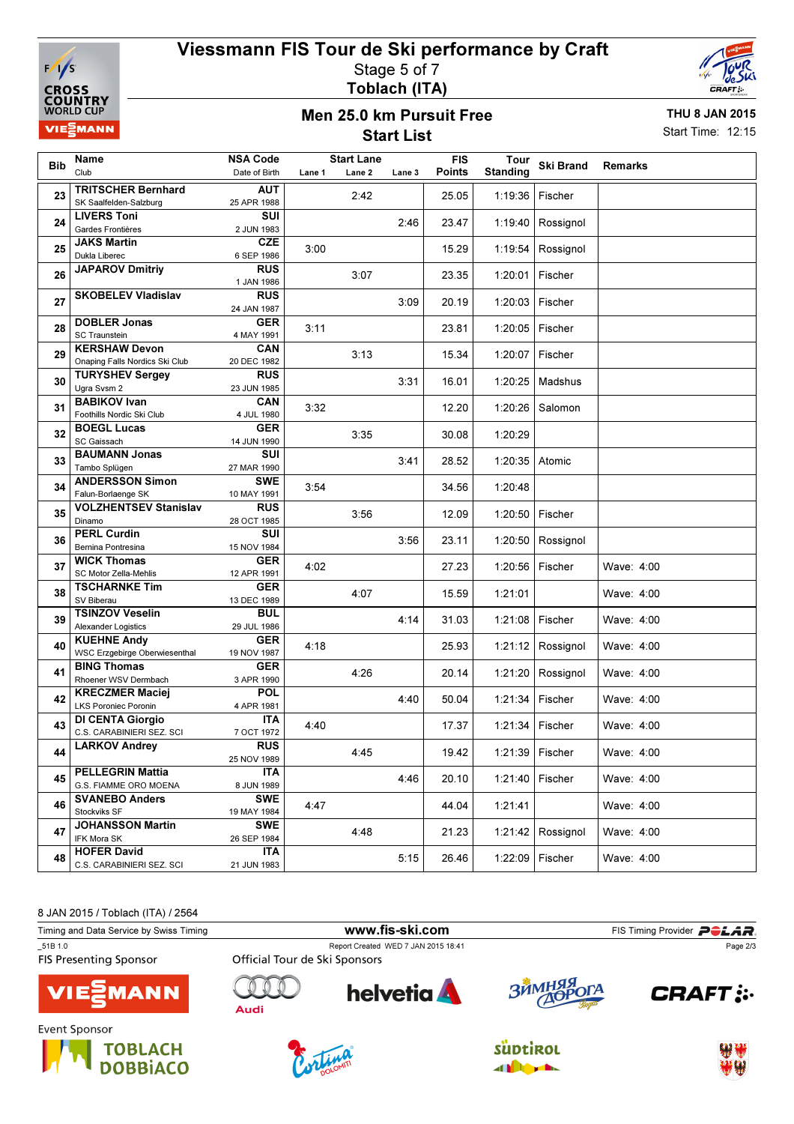

## Viessmann FIS Tour de Ski performance by Craft Stage 5 of 7



Toblach (ITA)

## Men 25.0 km Pursuit Free Start List

THU 8 JAN 2015 Start Time: 12:15

| <b>Bib</b>     | Name<br>Club                                    | <b>NSA Code</b><br>Date of Birth | Lane 1 | <b>Start Lane</b><br>Lane <sub>2</sub> | Lane 3 | <b>FIS</b><br>Points | Tour<br><b>Standing</b> | <b>Ski Brand</b>  | <b>Remarks</b> |
|----------------|-------------------------------------------------|----------------------------------|--------|----------------------------------------|--------|----------------------|-------------------------|-------------------|----------------|
|                | <b>TRITSCHER Bernhard</b>                       | <b>AUT</b>                       |        |                                        |        |                      |                         |                   |                |
| 23             | SK Saalfelden-Salzburg                          | 25 APR 1988                      |        | 2:42                                   |        | 25.05                | 1:19:36                 | Fischer           |                |
| 24             | <b>LIVERS Toni</b>                              | SUI                              |        |                                        |        |                      |                         |                   |                |
|                | Gardes Frontières                               | 2 JUN 1983                       |        |                                        | 2:46   | 23.47                | 1:19:40                 | Rossignol         |                |
| 25             | <b>JAKS Martin</b>                              | <b>CZE</b>                       |        |                                        |        |                      |                         |                   |                |
|                | Dukla Liberec                                   | 6 SEP 1986                       | 3:00   |                                        |        | 15.29                | 1:19:54                 | Rossignol         |                |
| 26             | <b>JAPAROV Dmitriy</b>                          | <b>RUS</b>                       |        | 3:07                                   |        | 23.35                | 1:20:01                 | Fischer           |                |
| 27             |                                                 | 1 JAN 1986                       |        |                                        |        |                      |                         |                   |                |
|                | <b>SKOBELEV Vladislav</b>                       | <b>RUS</b>                       |        |                                        | 3:09   | 20.19                | 1:20:03                 | Fischer           |                |
|                |                                                 | 24 JAN 1987                      |        |                                        |        |                      |                         |                   |                |
| 28             | <b>DOBLER Jonas</b>                             | <b>GER</b>                       | 3:11   |                                        |        | 23.81                | 1:20:05                 | Fischer           |                |
|                | <b>SC Traunstein</b><br><b>KERSHAW Devon</b>    | 4 MAY 1991<br>CAN                |        |                                        |        |                      |                         |                   |                |
| 29             | Onaping Falls Nordics Ski Club                  | 20 DEC 1982                      |        | 3:13                                   |        | 15.34                | 1:20:07                 | Fischer           |                |
|                | <b>TURYSHEV Sergey</b>                          | <b>RUS</b>                       |        |                                        |        |                      |                         |                   |                |
| 30             | Ugra Svsm 2                                     | 23 JUN 1985                      |        |                                        | 3:31   | 16.01                | 1:20:25                 | Madshus           |                |
|                | <b>BABIKOV Ivan</b>                             | <b>CAN</b>                       |        |                                        |        |                      |                         |                   |                |
| 31             | Foothills Nordic Ski Club                       | 4 JUL 1980                       | 3:32   |                                        |        | 12.20                | 1:20:26                 | Salomon           |                |
| 32             | <b>BOEGL Lucas</b>                              | <b>GER</b>                       |        | 3:35                                   |        | 30.08                | 1:20:29                 |                   |                |
|                | SC Gaissach                                     | 14 JUN 1990                      |        |                                        |        |                      |                         |                   |                |
| 33             | <b>BAUMANN Jonas</b>                            | SUI                              |        |                                        | 3:41   | 28.52                | 1:20:35                 | Atomic            |                |
|                | Tambo Splügen                                   | 27 MAR 1990                      |        |                                        |        |                      |                         |                   |                |
| 34             | <b>ANDERSSON Simon</b>                          | <b>SWE</b>                       | 3:54   |                                        |        | 34.56                | 1:20:48                 |                   |                |
|                | Falun-Borlaenge SK                              | 10 MAY 1991                      |        |                                        |        |                      |                         |                   |                |
| 35             | <b>VOLZHENTSEV Stanislav</b>                    | <b>RUS</b>                       |        | 3:56                                   |        | 12.09                | 1:20:50                 | Fischer           |                |
|                | Dinamo<br><b>PERL Curdin</b>                    | 28 OCT 1985<br>SUI               |        |                                        |        |                      |                         |                   |                |
| 36             | Bernina Pontresina                              | 15 NOV 1984                      |        |                                        | 3:56   | 23.11                | 1:20:50                 | Rossignol         |                |
|                | <b>WICK Thomas</b>                              | <b>GER</b>                       |        |                                        |        |                      |                         |                   |                |
| 37             | SC Motor Zella-Mehlis                           | 12 APR 1991                      | 4:02   |                                        |        | 27.23                | 1:20:56                 | Fischer           | Wave: 4:00     |
|                | <b>TSCHARNKE Tim</b>                            | <b>GER</b>                       |        |                                        |        |                      |                         |                   |                |
| 38             | SV Biberau                                      | 13 DEC 1989                      |        | 4:07                                   |        | 15.59                | 1:21:01                 |                   | Wave: 4:00     |
| 39             | <b>TSINZOV Veselin</b>                          | <b>BUL</b>                       |        |                                        | 4:14   | 31.03                | 1:21:08                 | Fischer           | Wave: 4:00     |
|                | <b>Alexander Logistics</b>                      | 29 JUL 1986                      |        |                                        |        |                      |                         |                   |                |
| 40             | <b>KUEHNE Andy</b>                              | <b>GER</b>                       | 4:18   |                                        |        | 25.93                | 1:21:12                 | Rossignol         | Wave: 4:00     |
|                | WSC Erzgebirge Oberwiesenthal                   | 19 NOV 1987                      |        |                                        |        |                      |                         |                   |                |
| 41             | <b>BING Thomas</b><br>Rhoener WSV Dermbach      | <b>GER</b>                       |        | 4:26                                   |        | 20.14                | 1:21:20                 | Rossignol         | Wave: 4:00     |
| 42<br>43<br>44 | <b>KRECZMER Maciej</b>                          | 3 APR 1990<br><b>POL</b>         |        |                                        |        |                      |                         |                   |                |
|                | <b>LKS Poroniec Poronin</b>                     | 4 APR 1981                       |        |                                        | 4:40   | 50.04                | 1:21:34                 | Fischer           | Wave: 4:00     |
|                | <b>DI CENTA Giorgio</b>                         | <b>ITA</b>                       |        |                                        |        |                      |                         |                   |                |
|                | C.S. CARABINIERI SEZ. SCI                       | 7 OCT 1972                       | 4:40   |                                        |        | 17.37                | 1:21:34                 | Fischer           | Wave: 4:00     |
|                | <b>LARKOV Andrey</b>                            | <b>RUS</b>                       |        |                                        |        |                      |                         |                   |                |
|                |                                                 | 25 NOV 1989                      |        | 4:45                                   |        | 19.42                |                         | 1:21:39   Fischer | Wave: 4:00     |
| 45<br>46       | <b>PELLEGRIN Mattia</b>                         | <b>ITA</b>                       |        |                                        | 4:46   | 20.10                |                         | 1:21:40   Fischer | Wave: 4:00     |
|                | G.S. FIAMME ORO MOENA                           | 8 JUN 1989                       |        |                                        |        |                      |                         |                   |                |
|                | <b>SVANEBO Anders</b>                           | <b>SWE</b>                       | 4:47   |                                        |        | 44.04                | 1:21:41                 |                   | Wave: 4:00     |
|                | Stockviks SF                                    | 19 MAY 1984                      |        |                                        |        |                      |                         |                   |                |
| 47             | <b>JOHANSSON Martin</b>                         | <b>SWE</b>                       |        | 4:48                                   |        | 21.23                | 1:21:42                 | Rossignol         | Wave: 4:00     |
|                | IFK Mora SK                                     | 26 SEP 1984                      |        |                                        |        |                      |                         |                   |                |
| 48             | <b>HOFER David</b><br>C.S. CARABINIERI SEZ. SCI | <b>ITA</b><br>21 JUN 1983        |        |                                        | 5:15   | 26.46                | 1:22:09                 | Fischer           | Wave: 4:00     |
|                |                                                 |                                  |        |                                        |        |                      |                         |                   |                |

8 JAN 2015 / Toblach (ITA) / 2564